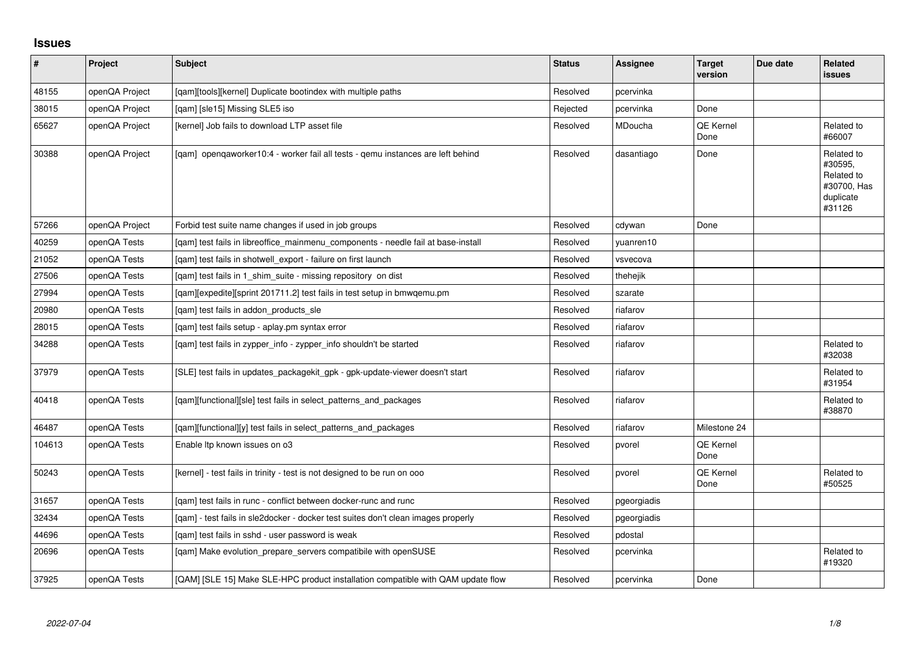## **Issues**

| $\pmb{\#}$ | Project        | <b>Subject</b>                                                                    | <b>Status</b> | <b>Assignee</b> | <b>Target</b><br>version | Due date | <b>Related</b><br>issues                                                  |
|------------|----------------|-----------------------------------------------------------------------------------|---------------|-----------------|--------------------------|----------|---------------------------------------------------------------------------|
| 48155      | openQA Project | [gam][tools][kernel] Duplicate bootindex with multiple paths                      | Resolved      | pcervinka       |                          |          |                                                                           |
| 38015      | openQA Project | [qam] [sle15] Missing SLE5 iso                                                    | Rejected      | pcervinka       | Done                     |          |                                                                           |
| 65627      | openQA Project | [kernel] Job fails to download LTP asset file                                     | Resolved      | MDoucha         | QE Kernel<br>Done        |          | Related to<br>#66007                                                      |
| 30388      | openQA Project | [qam] openqaworker10:4 - worker fail all tests - qemu instances are left behind   | Resolved      | dasantiago      | Done                     |          | Related to<br>#30595.<br>Related to<br>#30700, Has<br>duplicate<br>#31126 |
| 57266      | openQA Project | Forbid test suite name changes if used in job groups                              | Resolved      | cdywan          | Done                     |          |                                                                           |
| 40259      | openQA Tests   | [qam] test fails in libreoffice_mainmenu_components - needle fail at base-install | Resolved      | vuanren10       |                          |          |                                                                           |
| 21052      | openQA Tests   | [qam] test fails in shotwell_export - failure on first launch                     | Resolved      | vsvecova        |                          |          |                                                                           |
| 27506      | openQA Tests   | [gam] test fails in 1 shim suite - missing repository on dist                     | Resolved      | thehejik        |                          |          |                                                                           |
| 27994      | openQA Tests   | [qam][expedite][sprint 201711.2] test fails in test setup in bmwqemu.pm           | Resolved      | szarate         |                          |          |                                                                           |
| 20980      | openQA Tests   | [qam] test fails in addon_products_sle                                            | Resolved      | riafarov        |                          |          |                                                                           |
| 28015      | openQA Tests   | [gam] test fails setup - aplay.pm syntax error                                    | Resolved      | riafarov        |                          |          |                                                                           |
| 34288      | openQA Tests   | [qam] test fails in zypper_info - zypper_info shouldn't be started                | Resolved      | riafarov        |                          |          | Related to<br>#32038                                                      |
| 37979      | openQA Tests   | [SLE] test fails in updates_packagekit_gpk - gpk-update-viewer doesn't start      | Resolved      | riafarov        |                          |          | Related to<br>#31954                                                      |
| 40418      | openQA Tests   | [qam][functional][sle] test fails in select_patterns_and_packages                 | Resolved      | riafarov        |                          |          | Related to<br>#38870                                                      |
| 46487      | openQA Tests   | [gam][functional][y] test fails in select patterns and packages                   | Resolved      | riafarov        | Milestone 24             |          |                                                                           |
| 104613     | openQA Tests   | Enable Itp known issues on o3                                                     | Resolved      | pvorel          | QE Kernel<br>Done        |          |                                                                           |
| 50243      | openQA Tests   | [kernel] - test fails in trinity - test is not designed to be run on ooo          | Resolved      | pvorel          | QE Kernel<br>Done        |          | Related to<br>#50525                                                      |
| 31657      | openQA Tests   | [gam] test fails in runc - conflict between docker-runc and runc                  | Resolved      | pgeorgiadis     |                          |          |                                                                           |
| 32434      | openQA Tests   | [gam] - test fails in sle2docker - docker test suites don't clean images properly | Resolved      | pgeorgiadis     |                          |          |                                                                           |
| 44696      | openQA Tests   | [qam] test fails in sshd - user password is weak                                  | Resolved      | pdostal         |                          |          |                                                                           |
| 20696      | openQA Tests   | [gam] Make evolution prepare servers compatibile with openSUSE                    | Resolved      | pcervinka       |                          |          | Related to<br>#19320                                                      |
| 37925      | openQA Tests   | [QAM] [SLE 15] Make SLE-HPC product installation compatible with QAM update flow  | Resolved      | pcervinka       | Done                     |          |                                                                           |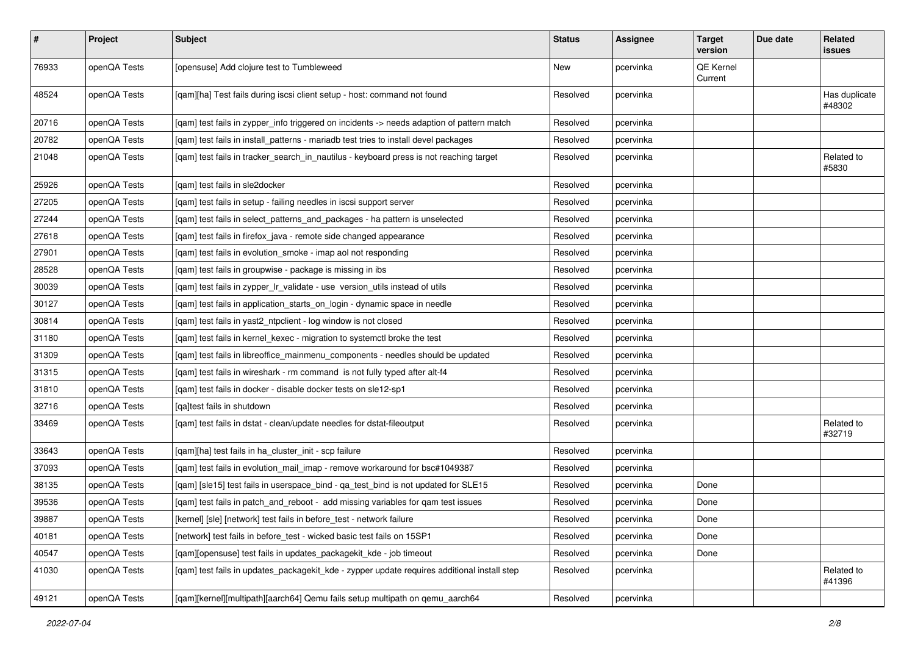| $\pmb{\#}$ | Project      | <b>Subject</b>                                                                              | <b>Status</b> | <b>Assignee</b> | <b>Target</b><br>version | Due date | Related<br>issues       |
|------------|--------------|---------------------------------------------------------------------------------------------|---------------|-----------------|--------------------------|----------|-------------------------|
| 76933      | openQA Tests | [opensuse] Add clojure test to Tumbleweed                                                   | <b>New</b>    | pcervinka       | QE Kernel<br>Current     |          |                         |
| 48524      | openQA Tests | [qam][ha] Test fails during iscsi client setup - host: command not found                    | Resolved      | pcervinka       |                          |          | Has duplicate<br>#48302 |
| 20716      | openQA Tests | [qam] test fails in zypper_info triggered on incidents -> needs adaption of pattern match   | Resolved      | pcervinka       |                          |          |                         |
| 20782      | openQA Tests | [qam] test fails in install_patterns - mariadb test tries to install devel packages         | Resolved      | pcervinka       |                          |          |                         |
| 21048      | openQA Tests | [qam] test fails in tracker_search_in_nautilus - keyboard press is not reaching target      | Resolved      | pcervinka       |                          |          | Related to<br>#5830     |
| 25926      | openQA Tests | [qam] test fails in sle2docker                                                              | Resolved      | pcervinka       |                          |          |                         |
| 27205      | openQA Tests | [qam] test fails in setup - failing needles in iscsi support server                         | Resolved      | pcervinka       |                          |          |                         |
| 27244      | openQA Tests | [qam] test fails in select_patterns_and_packages - ha pattern is unselected                 | Resolved      | pcervinka       |                          |          |                         |
| 27618      | openQA Tests | [qam] test fails in firefox_java - remote side changed appearance                           | Resolved      | pcervinka       |                          |          |                         |
| 27901      | openQA Tests | [qam] test fails in evolution_smoke - imap aol not responding                               | Resolved      | pcervinka       |                          |          |                         |
| 28528      | openQA Tests | [qam] test fails in groupwise - package is missing in ibs                                   | Resolved      | pcervinka       |                          |          |                         |
| 30039      | openQA Tests | [qam] test fails in zypper_lr_validate - use version_utils instead of utils                 | Resolved      | pcervinka       |                          |          |                         |
| 30127      | openQA Tests | [qam] test fails in application_starts_on_login - dynamic space in needle                   | Resolved      | pcervinka       |                          |          |                         |
| 30814      | openQA Tests | [qam] test fails in yast2_ntpclient - log window is not closed                              | Resolved      | pcervinka       |                          |          |                         |
| 31180      | openQA Tests | [gam] test fails in kernel kexec - migration to systemctl broke the test                    | Resolved      | pcervinka       |                          |          |                         |
| 31309      | openQA Tests | [qam] test fails in libreoffice_mainmenu_components - needles should be updated             | Resolved      | pcervinka       |                          |          |                         |
| 31315      | openQA Tests | [qam] test fails in wireshark - rm command is not fully typed after alt-f4                  | Resolved      | pcervinka       |                          |          |                         |
| 31810      | openQA Tests | [qam] test fails in docker - disable docker tests on sle12-sp1                              | Resolved      | pcervinka       |                          |          |                         |
| 32716      | openQA Tests | [qa]test fails in shutdown                                                                  | Resolved      | pcervinka       |                          |          |                         |
| 33469      | openQA Tests | [qam] test fails in dstat - clean/update needles for dstat-fileoutput                       | Resolved      | pcervinka       |                          |          | Related to<br>#32719    |
| 33643      | openQA Tests | [qam][ha] test fails in ha_cluster_init - scp failure                                       | Resolved      | pcervinka       |                          |          |                         |
| 37093      | openQA Tests | [qam] test fails in evolution_mail_imap - remove workaround for bsc#1049387                 | Resolved      | pcervinka       |                          |          |                         |
| 38135      | openQA Tests | [qam] [sle15] test fails in userspace_bind - qa_test_bind is not updated for SLE15          | Resolved      | pcervinka       | Done                     |          |                         |
| 39536      | openQA Tests | [qam] test fails in patch_and_reboot - add missing variables for qam test issues            | Resolved      | pcervinka       | Done                     |          |                         |
| 39887      | openQA Tests | [kernel] [sle] [network] test fails in before_test - network failure                        | Resolved      | pcervinka       | Done                     |          |                         |
| 40181      | openQA Tests | [network] test fails in before_test - wicked basic test fails on 15SP1                      | Resolved      | pcervinka       | Done                     |          |                         |
| 40547      | openQA Tests | [qam][opensuse] test fails in updates_packagekit_kde - job timeout                          | Resolved      | pcervinka       | Done                     |          |                         |
| 41030      | openQA Tests | [gam] test fails in updates packagekit kde - zypper update requires additional install step | Resolved      | pcervinka       |                          |          | Related to<br>#41396    |
| 49121      | openQA Tests | [qam][kernel][multipath][aarch64] Qemu fails setup multipath on qemu_aarch64                | Resolved      | pcervinka       |                          |          |                         |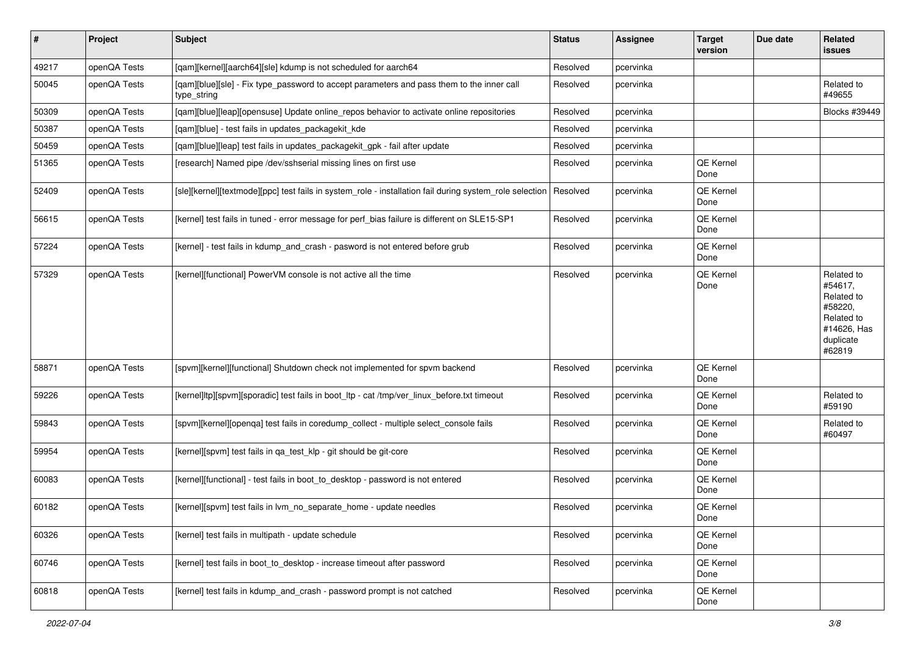| $\vert$ # | Project      | Subject                                                                                                  | <b>Status</b> | Assignee  | <b>Target</b><br>version | Due date | Related<br>issues                                                                                  |
|-----------|--------------|----------------------------------------------------------------------------------------------------------|---------------|-----------|--------------------------|----------|----------------------------------------------------------------------------------------------------|
| 49217     | openQA Tests | [gam][kernel][aarch64][sle] kdump is not scheduled for aarch64                                           | Resolved      | pcervinka |                          |          |                                                                                                    |
| 50045     | openQA Tests | [qam][blue][sle] - Fix type_password to accept parameters and pass them to the inner call<br>type_string | Resolved      | pcervinka |                          |          | Related to<br>#49655                                                                               |
| 50309     | openQA Tests | [qam][blue][leap][opensuse] Update online_repos behavior to activate online repositories                 | Resolved      | pcervinka |                          |          | Blocks #39449                                                                                      |
| 50387     | openQA Tests | [qam][blue] - test fails in updates_packagekit_kde                                                       | Resolved      | pcervinka |                          |          |                                                                                                    |
| 50459     | openQA Tests | [qam][blue][leap] test fails in updates_packagekit_gpk - fail after update                               | Resolved      | pcervinka |                          |          |                                                                                                    |
| 51365     | openQA Tests | [research] Named pipe /dev/sshserial missing lines on first use                                          | Resolved      | pcervinka | QE Kernel<br>Done        |          |                                                                                                    |
| 52409     | openQA Tests | [sle][kernel][textmode][ppc] test fails in system_role - installation fail during system_role selection  | Resolved      | pcervinka | QE Kernel<br>Done        |          |                                                                                                    |
| 56615     | openQA Tests | [kernel] test fails in tuned - error message for perf_bias failure is different on SLE15-SP1             | Resolved      | pcervinka | QE Kernel<br>Done        |          |                                                                                                    |
| 57224     | openQA Tests | [kernel] - test fails in kdump and crash - pasword is not entered before grub                            | Resolved      | pcervinka | QE Kernel<br>Done        |          |                                                                                                    |
| 57329     | openQA Tests | [kernel][functional] PowerVM console is not active all the time                                          | Resolved      | pcervinka | QE Kernel<br>Done        |          | Related to<br>#54617.<br>Related to<br>#58220,<br>Related to<br>#14626, Has<br>duplicate<br>#62819 |
| 58871     | openQA Tests | [spvm][kernel][functional] Shutdown check not implemented for spvm backend                               | Resolved      | pcervinka | QE Kernel<br>Done        |          |                                                                                                    |
| 59226     | openQA Tests | [kernel]ltp][spvm][sporadic] test fails in boot_ltp - cat /tmp/ver_linux_before.txt timeout              | Resolved      | pcervinka | QE Kernel<br>Done        |          | Related to<br>#59190                                                                               |
| 59843     | openQA Tests | [spvm][kernel][openqa] test fails in coredump_collect - multiple select_console fails                    | Resolved      | pcervinka | QE Kernel<br>Done        |          | Related to<br>#60497                                                                               |
| 59954     | openQA Tests | [kernel][spvm] test fails in qa_test_klp - git should be git-core                                        | Resolved      | pcervinka | QE Kernel<br>Done        |          |                                                                                                    |
| 60083     | openQA Tests | [kernel][functional] - test fails in boot_to_desktop - password is not entered                           | Resolved      | pcervinka | QE Kernel<br>Done        |          |                                                                                                    |
| 60182     | openQA Tests | [kernel][spvm] test fails in lvm_no_separate_home - update needles                                       | Resolved      | pcervinka | QE Kernel<br>Done        |          |                                                                                                    |
| 60326     | openQA Tests | [kernel] test fails in multipath - update schedule                                                       | Resolved      | pcervinka | QE Kernel<br>Done        |          |                                                                                                    |
| 60746     | openQA Tests | [kernel] test fails in boot_to_desktop - increase timeout after password                                 | Resolved      | pcervinka | QE Kernel<br>Done        |          |                                                                                                    |
| 60818     | openQA Tests | [kernel] test fails in kdump_and_crash - password prompt is not catched                                  | Resolved      | pcervinka | QE Kernel<br>Done        |          |                                                                                                    |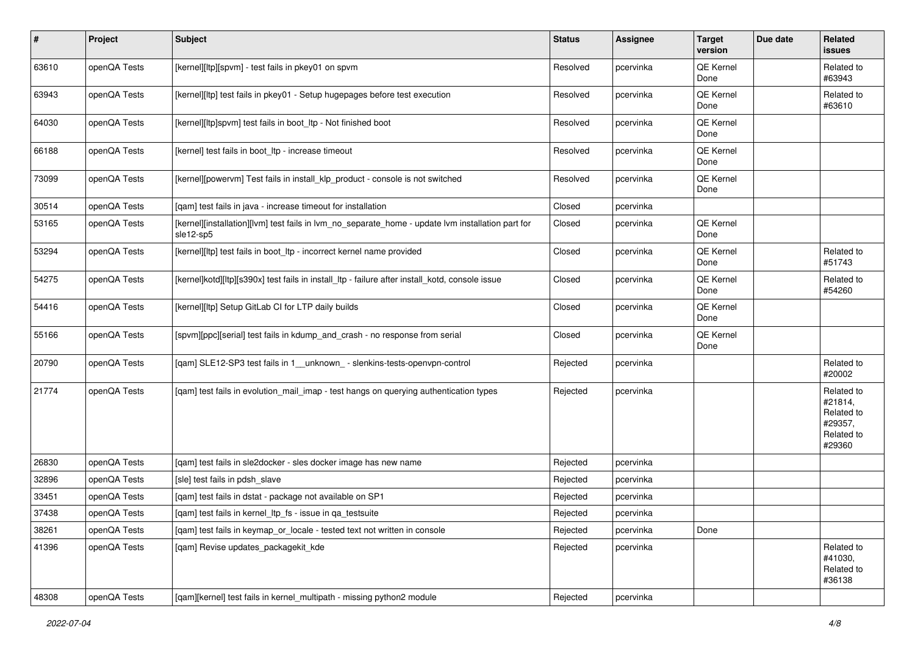| $\sharp$ | Project      | <b>Subject</b>                                                                                                 | <b>Status</b> | Assignee  | <b>Target</b><br>version | Due date | Related<br>issues                                                      |
|----------|--------------|----------------------------------------------------------------------------------------------------------------|---------------|-----------|--------------------------|----------|------------------------------------------------------------------------|
| 63610    | openQA Tests | [kernel][ltp][spvm] - test fails in pkey01 on spvm                                                             | Resolved      | pcervinka | QE Kernel<br>Done        |          | Related to<br>#63943                                                   |
| 63943    | openQA Tests | [kernel][ltp] test fails in pkey01 - Setup hugepages before test execution                                     | Resolved      | pcervinka | QE Kernel<br>Done        |          | Related to<br>#63610                                                   |
| 64030    | openQA Tests | [kernel][ltp]spvm] test fails in boot_ltp - Not finished boot                                                  | Resolved      | pcervinka | QE Kernel<br>Done        |          |                                                                        |
| 66188    | openQA Tests | [kernel] test fails in boot_ltp - increase timeout                                                             | Resolved      | pcervinka | QE Kernel<br>Done        |          |                                                                        |
| 73099    | openQA Tests | [kernel][powervm] Test fails in install_klp_product - console is not switched                                  | Resolved      | pcervinka | QE Kernel<br>Done        |          |                                                                        |
| 30514    | openQA Tests | [qam] test fails in java - increase timeout for installation                                                   | Closed        | pcervinka |                          |          |                                                                        |
| 53165    | openQA Tests | [kernel][installation][lvm] test fails in lvm_no_separate_home - update lvm installation part for<br>sle12-sp5 | Closed        | pcervinka | QE Kernel<br>Done        |          |                                                                        |
| 53294    | openQA Tests | [kernel][ltp] test fails in boot ltp - incorrect kernel name provided                                          | Closed        | pcervinka | QE Kernel<br>Done        |          | Related to<br>#51743                                                   |
| 54275    | openQA Tests | [kernel]kotd][ltp][s390x] test fails in install_ltp - failure after install_kotd, console issue                | Closed        | pcervinka | QE Kernel<br>Done        |          | Related to<br>#54260                                                   |
| 54416    | openQA Tests | [kernel][ltp] Setup GitLab CI for LTP daily builds                                                             | Closed        | pcervinka | QE Kernel<br>Done        |          |                                                                        |
| 55166    | openQA Tests | [spvm][ppc][serial] test fails in kdump_and_crash - no response from serial                                    | Closed        | pcervinka | QE Kernel<br>Done        |          |                                                                        |
| 20790    | openQA Tests | [qam] SLE12-SP3 test fails in 1_unknown_ - slenkins-tests-openvpn-control                                      | Rejected      | pcervinka |                          |          | Related to<br>#20002                                                   |
| 21774    | openQA Tests | [qam] test fails in evolution_mail_imap - test hangs on querying authentication types                          | Rejected      | pcervinka |                          |          | Related to<br>#21814,<br>Related to<br>#29357,<br>Related to<br>#29360 |
| 26830    | openQA Tests | [qam] test fails in sle2docker - sles docker image has new name                                                | Rejected      | pcervinka |                          |          |                                                                        |
| 32896    | openQA Tests | [sle] test fails in pdsh slave                                                                                 | Rejected      | pcervinka |                          |          |                                                                        |
| 33451    | openQA Tests | [gam] test fails in dstat - package not available on SP1                                                       | Rejected      | pcervinka |                          |          |                                                                        |
| 37438    | openQA Tests | [qam] test fails in kernel_ltp_fs - issue in qa_testsuite                                                      | Rejected      | pcervinka |                          |          |                                                                        |
| 38261    | openQA Tests | [qam] test fails in keymap_or_locale - tested text not written in console                                      | Rejected      | pcervinka | Done                     |          |                                                                        |
| 41396    | openQA Tests | [qam] Revise updates_packagekit_kde                                                                            | Rejected      | pcervinka |                          |          | Related to<br>#41030,<br>Related to<br>#36138                          |
| 48308    | openQA Tests | [qam][kernel] test fails in kernel_multipath - missing python2 module                                          | Rejected      | pcervinka |                          |          |                                                                        |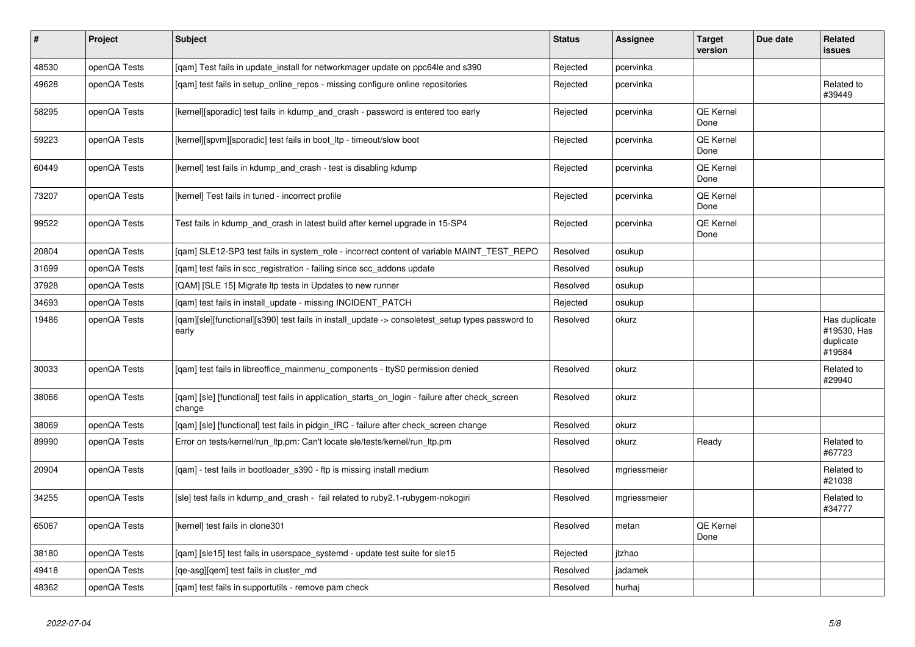| $\vert$ # | Project      | <b>Subject</b>                                                                                            | <b>Status</b> | Assignee     | <b>Target</b><br>version | Due date | Related<br>issues                                   |
|-----------|--------------|-----------------------------------------------------------------------------------------------------------|---------------|--------------|--------------------------|----------|-----------------------------------------------------|
| 48530     | openQA Tests | [qam] Test fails in update_install for networkmager update on ppc64le and s390                            | Rejected      | pcervinka    |                          |          |                                                     |
| 49628     | openQA Tests | [qam] test fails in setup_online_repos - missing configure online repositories                            | Rejected      | pcervinka    |                          |          | Related to<br>#39449                                |
| 58295     | openQA Tests | [kernel][sporadic] test fails in kdump_and_crash - password is entered too early                          | Rejected      | pcervinka    | <b>QE Kernel</b><br>Done |          |                                                     |
| 59223     | openQA Tests | [kernel][spvm][sporadic] test fails in boot ltp - timeout/slow boot                                       | Rejected      | pcervinka    | QE Kernel<br>Done        |          |                                                     |
| 60449     | openQA Tests | [kernel] test fails in kdump and crash - test is disabling kdump                                          | Rejected      | pcervinka    | QE Kernel<br>Done        |          |                                                     |
| 73207     | openQA Tests | [kernel] Test fails in tuned - incorrect profile                                                          | Rejected      | pcervinka    | QE Kernel<br>Done        |          |                                                     |
| 99522     | openQA Tests | Test fails in kdump_and_crash in latest build after kernel upgrade in 15-SP4                              | Rejected      | pcervinka    | QE Kernel<br>Done        |          |                                                     |
| 20804     | openQA Tests | [gam] SLE12-SP3 test fails in system role - incorrect content of variable MAINT TEST REPO                 | Resolved      | osukup       |                          |          |                                                     |
| 31699     | openQA Tests | [qam] test fails in scc_registration - failing since scc_addons update                                    | Resolved      | osukup       |                          |          |                                                     |
| 37928     | openQA Tests | [QAM] [SLE 15] Migrate Itp tests in Updates to new runner                                                 | Resolved      | osukup       |                          |          |                                                     |
| 34693     | openQA Tests | [qam] test fails in install_update - missing INCIDENT_PATCH                                               | Rejected      | osukup       |                          |          |                                                     |
| 19486     | openQA Tests | [gam][sle][functional][s390] test fails in install update -> consoletest setup types password to<br>early | Resolved      | okurz        |                          |          | Has duplicate<br>#19530, Has<br>duplicate<br>#19584 |
| 30033     | openQA Tests | [qam] test fails in libreoffice_mainmenu_components - ttyS0 permission denied                             | Resolved      | okurz        |                          |          | Related to<br>#29940                                |
| 38066     | openQA Tests | [qam] [sle] [functional] test fails in application_starts_on_login - failure after check_screen<br>change | Resolved      | okurz        |                          |          |                                                     |
| 38069     | openQA Tests | [gam] [sle] [functional] test fails in pidgin IRC - failure after check screen change                     | Resolved      | okurz        |                          |          |                                                     |
| 89990     | openQA Tests | Error on tests/kernel/run_ltp.pm: Can't locate sle/tests/kernel/run_ltp.pm                                | Resolved      | okurz        | Ready                    |          | Related to<br>#67723                                |
| 20904     | openQA Tests | [gam] - test fails in bootloader s390 - ftp is missing install medium                                     | Resolved      | mgriessmeier |                          |          | Related to<br>#21038                                |
| 34255     | openQA Tests | [sle] test fails in kdump_and_crash - fail related to ruby2.1-rubygem-nokogiri                            | Resolved      | mgriessmeier |                          |          | Related to<br>#34777                                |
| 65067     | openQA Tests | [kernel] test fails in clone301                                                                           | Resolved      | metan        | <b>QE Kernel</b><br>Done |          |                                                     |
| 38180     | openQA Tests | [qam] [sle15] test fails in userspace_systemd - update test suite for sle15                               | Rejected      | itzhao       |                          |          |                                                     |
| 49418     | openQA Tests | [ge-asg][gem] test fails in cluster md                                                                    | Resolved      | jadamek      |                          |          |                                                     |
| 48362     | openQA Tests | [gam] test fails in supportutils - remove pam check                                                       | Resolved      | hurhaj       |                          |          |                                                     |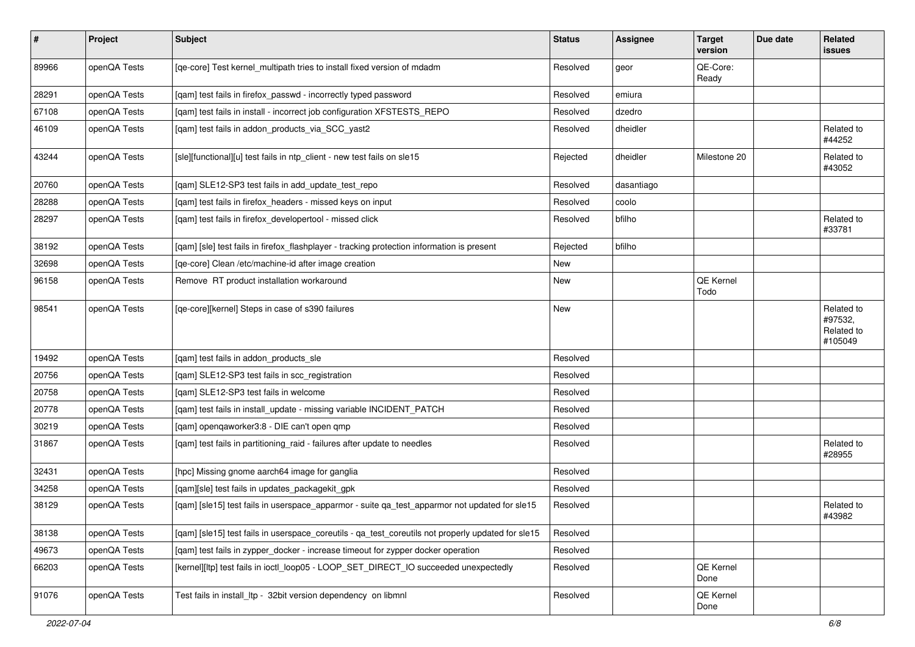| $\vert$ # | Project      | <b>Subject</b>                                                                                     | <b>Status</b> | Assignee   | <b>Target</b><br>version | Due date | Related<br>issues                              |
|-----------|--------------|----------------------------------------------------------------------------------------------------|---------------|------------|--------------------------|----------|------------------------------------------------|
| 89966     | openQA Tests | [qe-core] Test kernel_multipath tries to install fixed version of mdadm                            | Resolved      | geor       | QE-Core:<br>Ready        |          |                                                |
| 28291     | openQA Tests | [qam] test fails in firefox_passwd - incorrectly typed password                                    | Resolved      | emiura     |                          |          |                                                |
| 67108     | openQA Tests | [qam] test fails in install - incorrect job configuration XFSTESTS_REPO                            | Resolved      | dzedro     |                          |          |                                                |
| 46109     | openQA Tests | [qam] test fails in addon_products_via_SCC_yast2                                                   | Resolved      | dheidler   |                          |          | Related to<br>#44252                           |
| 43244     | openQA Tests | [sle][functional][u] test fails in ntp_client - new test fails on sle15                            | Rejected      | dheidler   | Milestone 20             |          | Related to<br>#43052                           |
| 20760     | openQA Tests | [qam] SLE12-SP3 test fails in add_update_test_repo                                                 | Resolved      | dasantiago |                          |          |                                                |
| 28288     | openQA Tests | [qam] test fails in firefox_headers - missed keys on input                                         | Resolved      | coolo      |                          |          |                                                |
| 28297     | openQA Tests | [qam] test fails in firefox_developertool - missed click                                           | Resolved      | bfilho     |                          |          | Related to<br>#33781                           |
| 38192     | openQA Tests | [qam] [sle] test fails in firefox_flashplayer - tracking protection information is present         | Rejected      | bfilho     |                          |          |                                                |
| 32698     | openQA Tests | [qe-core] Clean /etc/machine-id after image creation                                               | New           |            |                          |          |                                                |
| 96158     | openQA Tests | Remove RT product installation workaround                                                          | New           |            | QE Kernel<br>Todo        |          |                                                |
| 98541     | openQA Tests | [qe-core][kernel] Steps in case of s390 failures                                                   | New           |            |                          |          | Related to<br>#97532,<br>Related to<br>#105049 |
| 19492     | openQA Tests | [gam] test fails in addon products sle                                                             | Resolved      |            |                          |          |                                                |
| 20756     | openQA Tests | [qam] SLE12-SP3 test fails in scc_registration                                                     | Resolved      |            |                          |          |                                                |
| 20758     | openQA Tests | [qam] SLE12-SP3 test fails in welcome                                                              | Resolved      |            |                          |          |                                                |
| 20778     | openQA Tests | [qam] test fails in install_update - missing variable INCIDENT_PATCH                               | Resolved      |            |                          |          |                                                |
| 30219     | openQA Tests | [qam] openqaworker3:8 - DIE can't open qmp                                                         | Resolved      |            |                          |          |                                                |
| 31867     | openQA Tests | [qam] test fails in partitioning_raid - failures after update to needles                           | Resolved      |            |                          |          | Related to<br>#28955                           |
| 32431     | openQA Tests | [hpc] Missing gnome aarch64 image for ganglia                                                      | Resolved      |            |                          |          |                                                |
| 34258     | openQA Tests | [qam][sle] test fails in updates_packagekit_gpk                                                    | Resolved      |            |                          |          |                                                |
| 38129     | openQA Tests | [qam] [sle15] test fails in userspace_apparmor - suite qa_test_apparmor not updated for sle15      | Resolved      |            |                          |          | Related to<br>#43982                           |
| 38138     | openQA Tests | [qam] [sle15] test fails in userspace_coreutils - qa_test_coreutils not properly updated for sle15 | Resolved      |            |                          |          |                                                |
| 49673     | openQA Tests | [qam] test fails in zypper_docker - increase timeout for zypper docker operation                   | Resolved      |            |                          |          |                                                |
| 66203     | openQA Tests | [kernel][ltp] test fails in ioctl loop05 - LOOP SET DIRECT IO succeeded unexpectedly               | Resolved      |            | QE Kernel<br>Done        |          |                                                |
| 91076     | openQA Tests | Test fails in install_ltp - 32bit version dependency on libmnl                                     | Resolved      |            | QE Kernel<br>Done        |          |                                                |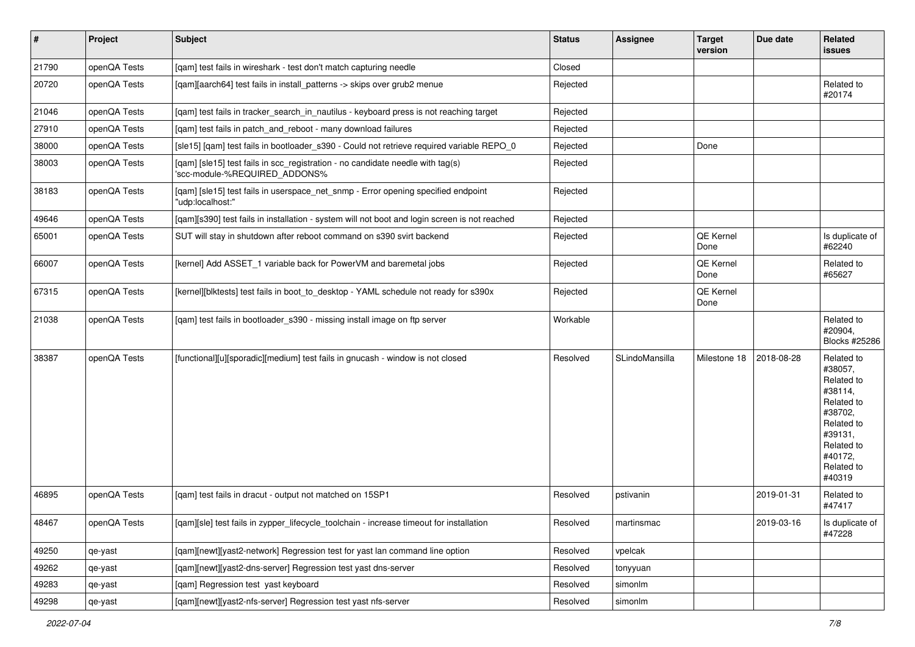| $\vert$ # | Project      | Subject                                                                                                         | <b>Status</b> | <b>Assignee</b> | <b>Target</b><br>version | Due date   | Related<br>issues                                                                                                                                 |
|-----------|--------------|-----------------------------------------------------------------------------------------------------------------|---------------|-----------------|--------------------------|------------|---------------------------------------------------------------------------------------------------------------------------------------------------|
| 21790     | openQA Tests | [qam] test fails in wireshark - test don't match capturing needle                                               | Closed        |                 |                          |            |                                                                                                                                                   |
| 20720     | openQA Tests | [qam][aarch64] test fails in install_patterns -> skips over grub2 menue                                         | Rejected      |                 |                          |            | Related to<br>#20174                                                                                                                              |
| 21046     | openQA Tests | [qam] test fails in tracker_search_in_nautilus - keyboard press is not reaching target                          | Rejected      |                 |                          |            |                                                                                                                                                   |
| 27910     | openQA Tests | [qam] test fails in patch_and_reboot - many download failures                                                   | Rejected      |                 |                          |            |                                                                                                                                                   |
| 38000     | openQA Tests | [sle15] [qam] test fails in bootloader_s390 - Could not retrieve required variable REPO_0                       | Rejected      |                 | Done                     |            |                                                                                                                                                   |
| 38003     | openQA Tests | [qam] [sle15] test fails in scc_registration - no candidate needle with tag(s)<br>'scc-module-%REQUIRED_ADDONS% | Rejected      |                 |                          |            |                                                                                                                                                   |
| 38183     | openQA Tests | [qam] [sle15] test fails in userspace_net_snmp - Error opening specified endpoint<br>"udp:localhost:"           | Rejected      |                 |                          |            |                                                                                                                                                   |
| 49646     | openQA Tests | [qam][s390] test fails in installation - system will not boot and login screen is not reached                   | Rejected      |                 |                          |            |                                                                                                                                                   |
| 65001     | openQA Tests | SUT will stay in shutdown after reboot command on s390 svirt backend                                            | Rejected      |                 | QE Kernel<br>Done        |            | Is duplicate of<br>#62240                                                                                                                         |
| 66007     | openQA Tests | [kernel] Add ASSET 1 variable back for PowerVM and baremetal jobs                                               | Rejected      |                 | <b>QE Kernel</b><br>Done |            | Related to<br>#65627                                                                                                                              |
| 67315     | openQA Tests | [kernel][blktests] test fails in boot_to_desktop - YAML schedule not ready for s390x                            | Rejected      |                 | <b>QE Kernel</b><br>Done |            |                                                                                                                                                   |
| 21038     | openQA Tests | [qam] test fails in bootloader_s390 - missing install image on ftp server                                       | Workable      |                 |                          |            | Related to<br>#20904,<br>Blocks #25286                                                                                                            |
| 38387     | openQA Tests | [functional][u][sporadic][medium] test fails in gnucash - window is not closed                                  | Resolved      | SLindoMansilla  | Milestone 18             | 2018-08-28 | Related to<br>#38057,<br>Related to<br>#38114,<br>Related to<br>#38702,<br>Related to<br>#39131,<br>Related to<br>#40172,<br>Related to<br>#40319 |
| 46895     | openQA Tests | [qam] test fails in dracut - output not matched on 15SP1                                                        | Resolved      | pstivanin       |                          | 2019-01-31 | Related to<br>#47417                                                                                                                              |
| 48467     | openQA Tests | [qam][sle] test fails in zypper_lifecycle_toolchain - increase timeout for installation                         | Resolved      | martinsmac      |                          | 2019-03-16 | Is duplicate of<br>#47228                                                                                                                         |
| 49250     | qe-yast      | [qam][newt][yast2-network] Regression test for yast lan command line option                                     | Resolved      | vpelcak         |                          |            |                                                                                                                                                   |
| 49262     | qe-yast      | [qam][newt][yast2-dns-server] Regression test yast dns-server                                                   | Resolved      | tonyyuan        |                          |            |                                                                                                                                                   |
| 49283     | qe-yast      | [qam] Regression test yast keyboard                                                                             | Resolved      | simonlm         |                          |            |                                                                                                                                                   |
| 49298     | qe-yast      | [qam][newt][yast2-nfs-server] Regression test yast nfs-server                                                   | Resolved      | simonlm         |                          |            |                                                                                                                                                   |